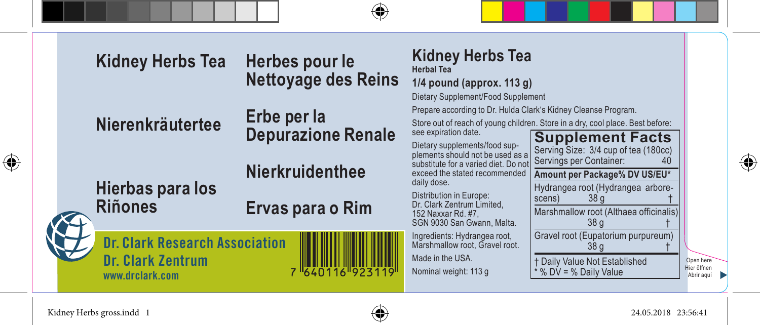

Kidney Herbs gross.indd 1 24.05.2018 23:56:41

⊕

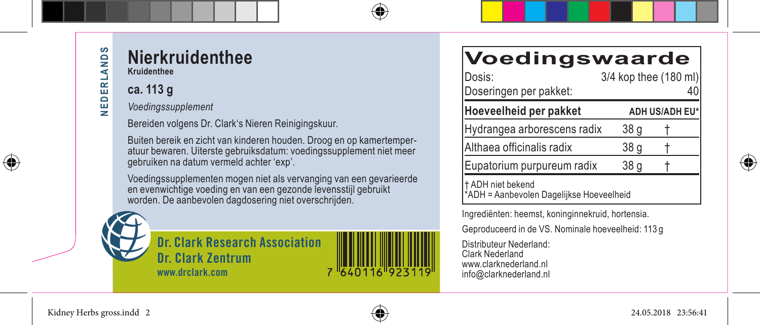⊕

#### **Nierkruidenthee Kruidenthee**

### **ca. 113 g**

*Voedingssupplement*

Bereiden volgens Dr. Clark's Nieren Reinigingskuur.

Buiten bereik en zicht van kinderen houden. Droog en op kamertemperatuur bewaren. Uiterste gebruiksdatum: voedingssupplement niet meer gebruiken na datum vermeld achter 'exp'.

Voedingssupplementen mogen niet als vervanging van een gevarieerde en evenwichtige voeding en van een gezonde levensstijl gebruikt worden. De aanbevolen dagdosering niet overschrijden.



**Dr. Clark Research Association Dr. Clark Zentrum www.drclark.com**



## **Voedingswaarde**

| Dosis:                                                       | 3/4 kop thee (180 ml) |                |
|--------------------------------------------------------------|-----------------------|----------------|
| Doseringen per pakket:                                       |                       | 40             |
| Hoeveelheid per pakket                                       |                       | ADH US/ADH EU* |
| Hydrangea arborescens radix                                  | 38 a                  |                |
| Althaea officinalis radix                                    | 38 <sub>g</sub>       |                |
| Eupatorium purpureum radix                                   | 38 <sub>q</sub>       |                |
| 1 ADH niet bekend<br>ADH = Aanbevolen Dagelijkse Hoeveelheid |                       |                |

Ingrediënten: heemst, koninginnekruid, hortensia.

Geproduceerd in de VS. Nominale hoeveelheid: 113 g

Distributeur Nederland: Clark Nederland www.clarknederland.nl info@clarknederland.nl

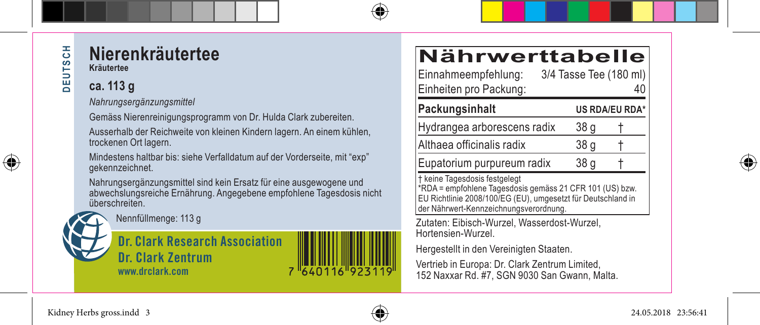⊕

#### **Nierenkräutertee Kräutertee**

## **ca. 113 g**

*Nahrungsergänzungsmittel*

Gemäss Nierenreinigungsprogramm von Dr. Hulda Clark zubereiten.

Ausserhalb der Reichweite von kleinen Kindern lagern. An einem kühlen, trockenen Ort lagern.

Mindestens haltbar bis: siehe Verfalldatum auf der Vorderseite, mit "exp" gekennzeichnet.

Nahrungsergänzungsmittel sind kein Ersatz für eine ausgewogene und abwechslungsreiche Ernährung. Angegebene empfohlene Tagesdosis nicht überschreiten.



Nennfüllmenge: 113 g

**Dr. Clark Research Association Dr. Clark Zentrum www.drclark.com**

| <b>Nährwerttabelle</b>                        |                              |
|-----------------------------------------------|------------------------------|
| Einnahmeempfehlung:<br>Einheiten pro Packung: | 3/4 Tasse Tee (180 ml)<br>40 |
| <b>Dookungcinholt</b>                         | <b>He DDA/EU DDAX</b>        |

Packungsinhalt US RDA/EU RDA Hydrangea arborescens radix 38 g † Althaea officinalis radix 38 g Eupatorium purpureum radix 38 g † keine Tagesdosis festgelegt \*RDA = empfohlene Tagesdosis gemäss 21 CFR 101 (US) bzw. EU Richtlinie 2008/100/EG (EU), umgesetzt für Deutschland in

Zutaten: Eibisch-Wurzel, Wasserdost-Wurzel, Hortensien-Wurzel.

Hergestellt in den Vereinigten Staaten.

der Nährwert-Kennzeichnungsverordnung.

Vertrieb in Europa: Dr. Clark Zentrum Limited, 152 Naxxar Rd. #7, SGN 9030 San Gwann, Malta.



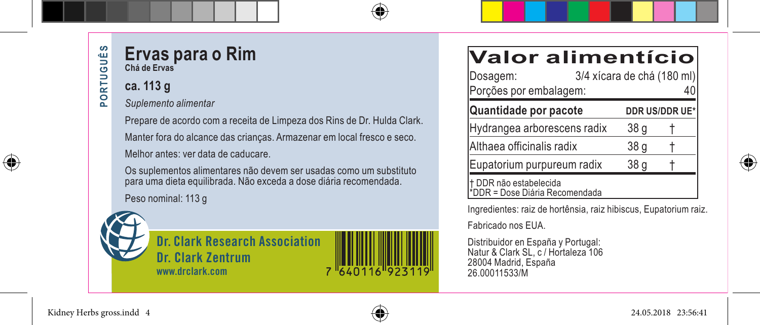PORTUGUÊS **PORTUGUÊS**

 $\bigoplus$ 

## **Ervas para o Rim Chá de Ervas**

## **ca. 113 g**

*Suplemento alimentar*

Prepare de acordo com a receita de Limpeza dos Rins de Dr. Hulda Clark. Manter fora do alcance das crianças. Armazenar em local fresco e seco. Melhor antes: ver data de caducare.

Os suplementos alimentares não devem ser usadas como um substituto para uma dieta equilibrada. Não exceda a dose diária recomendada.

Peso nominal: 113 g



**Dr. Clark Research Association Dr. Clark Zentrum www.drclark.com**



# **Valor alimentício**

| Dosagem:<br>Porções por embalagem:                       | 3/4 xícara de chá (180 ml) |                 |                |
|----------------------------------------------------------|----------------------------|-----------------|----------------|
| Quantidade por pacote                                    |                            |                 | DDR US/DDR UE* |
| Hydrangea arborescens radix                              |                            | 38 a            |                |
| Althaea officinalis radix                                |                            | 38 <sub>g</sub> |                |
| Eupatorium purpureum radix                               |                            | 38 <sub>g</sub> |                |
| † DDR não estabelecida<br>*DDR = Dose Diária Recomendada |                            |                 |                |

Ingredientes: raiz de hortênsia, raiz hibiscus, Eupatorium raiz.

Fabricado nos EUA.

Distribuidor en España y Portugal: Natur & Clark SL, c / Hortaleza 106 28004 Madrid, España 26.00011533/M



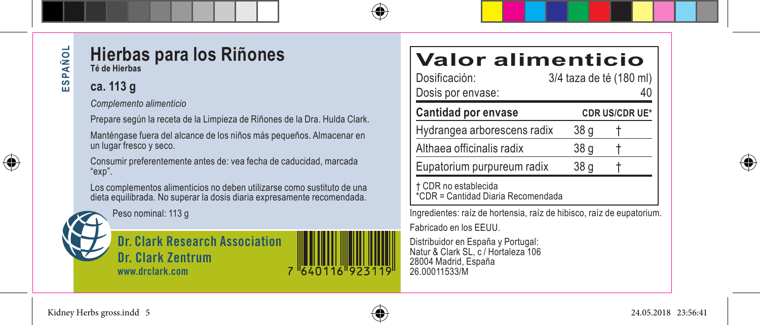⊕

## **Hierbas para los Riñones Té de Hierbas**

## **ca. 113 g**

*Complemento alimenticio*

Prepare según la receta de la Limpieza de Riñones de la Dra. Hulda Clark.

Manténgase fuera del alcance de los niños más pequeños. Almacenar en un lugar fresco y seco.

Consumir preferentemente antes de: vea fecha de caducidad, marcada "exp".

Los complementos alimenticios no deben utilizarse como sustituto de una dieta equilibrada. No superar la dosis diaria expresamente recomendada.



Peso nominal: 113 g

**Dr. Clark Research Association Dr. Clark Zentrum www.drclark.com**

# **Valor alimenticio**

| Dosificación:<br>Dosis por envase:                         | 3/4 taza de té (180 ml) |
|------------------------------------------------------------|-------------------------|
| Cantidad por envase                                        | <b>CDR US/CDR UE*</b>   |
| Hydrangea arborescens radix                                | 38 g                    |
| Althaea officinalis radix                                  | 38 g                    |
| Eupatorium purpureum radix                                 | 38 g                    |
| † CDR no establecida<br>*CDR = Cantidad Diaria Recomendada |                         |

Ingredientes: raíz de hortensia, raíz de hibisco, raíz de eupatorium. Fabricado en los EEUU.

Distribuidor en España y Portugal: Natur & Clark SL, c / Hortaleza 106 28004 Madrid, España 26.00011533/M



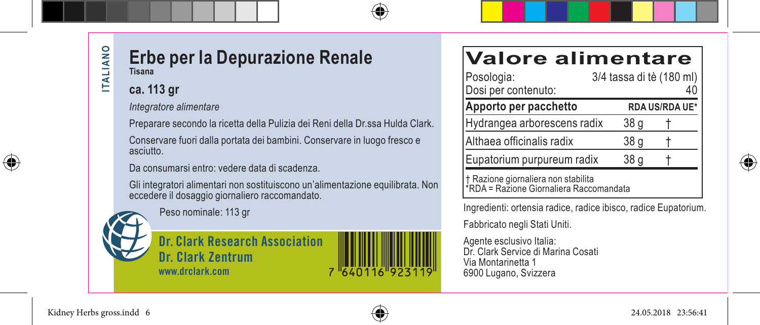**ITALIANO ITALIANO** 

⊕

#### **Erbe per la Depurazione Renale Tisana**

#### **ca. 113 gr**

*Integratore alimentare*

Preparare secondo la ricetta della Pulizia dei Reni della Dr.ssa Hulda Clark.

Conservare fuori dalla portata dei bambini. Conservare in luogo fresco e asciutto.

Da consumarsi entro: vedere data di scadenza.

Gli integratori alimentari non sostituiscono un'alimentazione equilibrata. Non eccedere il dosaggio giornaliero raccomandato.

Peso nominale: 113 gr

**Dr. Clark Research Association Dr. Clark Zentrum www.drclark.com**



# **Valore alimentare**

| Posologia:<br>Dosi per contenuto:     | 3/4 tassa di tè (180 ml) |                |
|---------------------------------------|--------------------------|----------------|
| Apporto per pacchetto                 |                          | RDA US/RDA UE* |
| Hydrangea arborescens radix           | 38 g                     |                |
| Althaea officinalis radix             | 38 g                     |                |
| Eupatorium purpureum radix            | 38 g                     |                |
| I + Razione giornaliera non stabilita |                          |                |

† Razione giornaliera non stabilita \*RDA = Razione Giornaliera Raccomandata

Ingredienti: ortensia radice, radice ibisco, radice Eupatorium.

Fabbricato negli Stati Uniti.

Agente esclusivo Italia: Dr. Clark Service di Marina Cosati Via Montarinetta 1 6900 Lugano, Svizzera

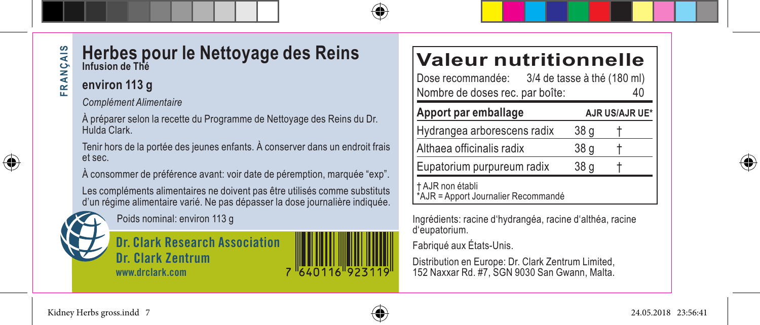#### **Herbes pour le Nettoyage des Reins** FRANÇAIS **FRANÇAIS Infusion de Thé**

#### **environ 113 g**

*Complément Alimentaire*

À préparer selon la recette du Programme de Nettoyage des Reins du Dr. Hulda Clark.

Tenir hors de la portée des jeunes enfants. À conserver dans un endroit frais et sec.

À consommer de préférence avant: voir date de péremption, marquée "exp".

Les compléments alimentaires ne doivent pas être utilisés comme substituts d'un régime alimentaire varié. Ne pas dépasser la dose journalière indiquée.

Poids nominal: environ 113 g

**Dr. Clark Research Association Dr. Clark Zentrum www.drclark.com**

# **Valeur nutritionnelle**<br>Dose recommandée: 3/4 de tasse à thé (180 ml)

3/4 de tasse à thé (180 ml) Nombre de doses rec. par boîte:

| Apport par emballage                                  |      | AJR US/AJR UE* |
|-------------------------------------------------------|------|----------------|
| Hydrangea arborescens radix                           | 38 g |                |
| Althaea officinalis radix                             | 38 g |                |
| Eupatorium purpureum radix                            | 38 g |                |
| AJR non établi<br>*AJR = Apport Journalier Recommandé |      |                |

Ingrédients: racine d'hydrangéa, racine d'althéa, racine d'eupatorium.

Fabriqué aux États-Unis.

Distribution en Europe: Dr. Clark Zentrum Limited, 152 Naxxar Rd. #7, SGN 9030 San Gwann, Malta.



í

⊕



7 640116 923119